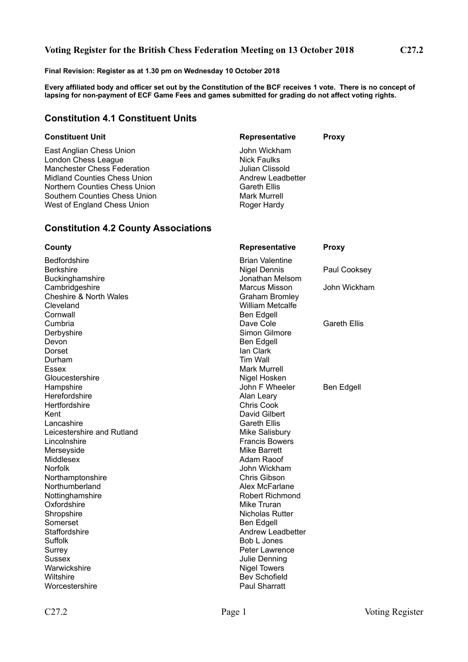#### **Voting Register for the British Chess Federation Meeting on 13 October 2018 C27.2**

**Final Revision: Register as at 1.30 pm on Wednesday 10 October 2018**

**Every affiliated body and officer set out by the Constitution of the BCF receives 1 vote. There is no concept of lapsing for non-payment of ECF Game Fees and games submitted for grading do not affect voting rights.**

### **Constitution 4.1 Constituent Units**

East Anglian Chess Union John Wickham London Chess League Nick Faulks Manchester Chess Federation<br>
Midland Counties Chess Union<br>
Midland Counties Chess Union<br>
Counties Chess Union Midland Counties Chess Union Northern Counties Chess Union<br>
Southern Counties Chess Union<br>
Mark Murrell Southern Counties Chess Union West of England Chess Union Network Chess Roger Hardy

# **Constituent Unit Constituent Unit Representative Proxy**

#### **Constitution 4.2 County Associations**

| County                            | Representative           | <b>Proxy</b>        |
|-----------------------------------|--------------------------|---------------------|
| <b>Bedfordshire</b>               | <b>Brian Valentine</b>   |                     |
| <b>Berkshire</b>                  | <b>Nigel Dennis</b>      | Paul Cooksey        |
| Buckinghamshire                   | Jonathan Melsom          |                     |
| Cambridgeshire                    | Marcus Misson            | John Wickham        |
| <b>Cheshire &amp; North Wales</b> | <b>Graham Bromley</b>    |                     |
| Cleveland                         | <b>William Metcalfe</b>  |                     |
| Cornwall                          | Ben Edgell               |                     |
| Cumbria                           | Dave Cole                | <b>Gareth Ellis</b> |
| Derbyshire                        | Simon Gilmore            |                     |
| Devon                             | Ben Edgell               |                     |
| <b>Dorset</b>                     | lan Clark                |                     |
| Durham                            | Tim Wall                 |                     |
| Essex                             | <b>Mark Murrell</b>      |                     |
| Gloucestershire                   | Nigel Hosken             |                     |
| Hampshire                         | John F Wheeler           | Ben Edgell          |
| Herefordshire                     | Alan Leary               |                     |
| Hertfordshire                     | <b>Chris Cook</b>        |                     |
| Kent                              | David Gilbert            |                     |
| Lancashire                        | <b>Gareth Ellis</b>      |                     |
| Leicestershire and Rutland        | Mike Salisbury           |                     |
| Lincolnshire                      | <b>Francis Bowers</b>    |                     |
| Merseyside                        | Mike Barrett             |                     |
| Middlesex                         | Adam Raoof               |                     |
| <b>Norfolk</b>                    | John Wickham             |                     |
| Northamptonshire                  | Chris Gibson             |                     |
| Northumberland                    | Alex McFarlane           |                     |
| Nottinghamshire                   | <b>Robert Richmond</b>   |                     |
| Oxfordshire                       | Mike Truran              |                     |
| Shropshire                        | Nicholas Rutter          |                     |
| Somerset                          | Ben Edgell               |                     |
| Staffordshire                     | <b>Andrew Leadbetter</b> |                     |
| Suffolk                           | Bob L Jones              |                     |
| Surrey                            | Peter Lawrence           |                     |
| <b>Sussex</b>                     | <b>Julie Denning</b>     |                     |
| Warwickshire                      | <b>Nigel Towers</b>      |                     |
| Wiltshire                         | <b>Bev Schofield</b>     |                     |
| Worcestershire                    | Paul Sharratt            |                     |